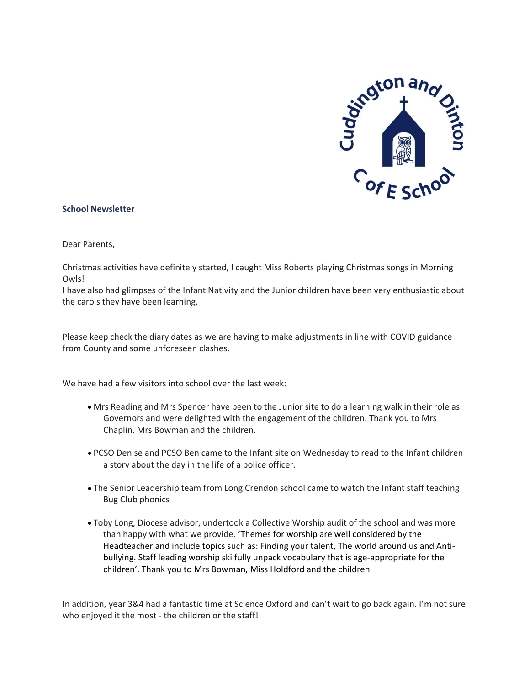

#### **School Newsletter**

Dear Parents,

Christmas activities have definitely started, I caught Miss Roberts playing Christmas songs in Morning Owls!

I have also had glimpses of the Infant Nativity and the Junior children have been very enthusiastic about the carols they have been learning.

Please keep check the diary dates as we are having to make adjustments in line with COVID guidance from County and some unforeseen clashes.

We have had a few visitors into school over the last week:

- Mrs Reading and Mrs Spencer have been to the Junior site to do a learning walk in their role as Governors and were delighted with the engagement of the children. Thank you to Mrs Chaplin, Mrs Bowman and the children.
- PCSO Denise and PCSO Ben came to the Infant site on Wednesday to read to the Infant children a story about the day in the life of a police officer.
- The Senior Leadership team from Long Crendon school came to watch the Infant staff teaching Bug Club phonics
- Toby Long, Diocese advisor, undertook a Collective Worship audit of the school and was more than happy with what we provide. 'Themes for worship are well considered by the Headteacher and include topics such as: Finding your talent, The world around us and Antibullying. Staff leading worship skilfully unpack vocabulary that is age-appropriate for the children'. Thank you to Mrs Bowman, Miss Holdford and the children

In addition, year 3&4 had a fantastic time at Science Oxford and can't wait to go back again. I'm not sure who enjoyed it the most - the children or the staff!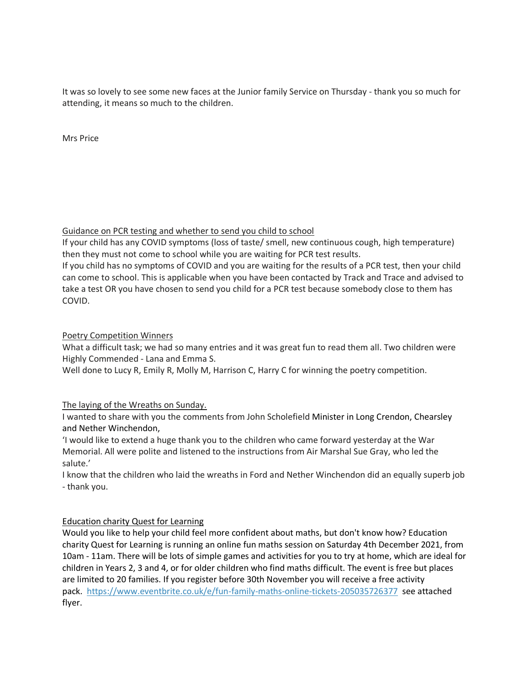It was so lovely to see some new faces at the Junior family Service on Thursday - thank you so much for attending, it means so much to the children.

Mrs Price

Guidance on PCR testing and whether to send you child to school

If your child has any COVID symptoms (loss of taste/ smell, new continuous cough, high temperature) then they must not come to school while you are waiting for PCR test results.

If you child has no symptoms of COVID and you are waiting for the results of a PCR test, then your child can come to school. This is applicable when you have been contacted by Track and Trace and advised to take a test OR you have chosen to send you child for a PCR test because somebody close to them has COVID.

# Poetry Competition Winners

What a difficult task; we had so many entries and it was great fun to read them all. Two children were Highly Commended - Lana and Emma S.

Well done to Lucy R, Emily R, Molly M, Harrison C, Harry C for winning the poetry competition.

# The laying of the Wreaths on Sunday.

I wanted to share with you the comments from John Scholefield Minister in Long Crendon, Chearsley and Nether Winchendon,

'I would like to extend a huge thank you to the children who came forward yesterday at the War Memorial. All were polite and listened to the instructions from Air Marshal Sue Gray, who led the salute.'

I know that the children who laid the wreaths in Ford and Nether Winchendon did an equally superb job - thank you.

# Education charity Quest for Learning

Would you like to help your child feel more confident about maths, but don't know how? Education charity Quest for Learning is running an online fun maths session on Saturday 4th December 2021, from 10am - 11am. There will be lots of simple games and activities for you to try at home, which are ideal for children in Years 2, 3 and 4, or for older children who find maths difficult. The event is free but places are limited to 20 families. If you register before 30th November you will receive a free activity pack. <https://www.eventbrite.co.uk/e/fun-family-maths-online-tickets-205035726377> see attached flyer.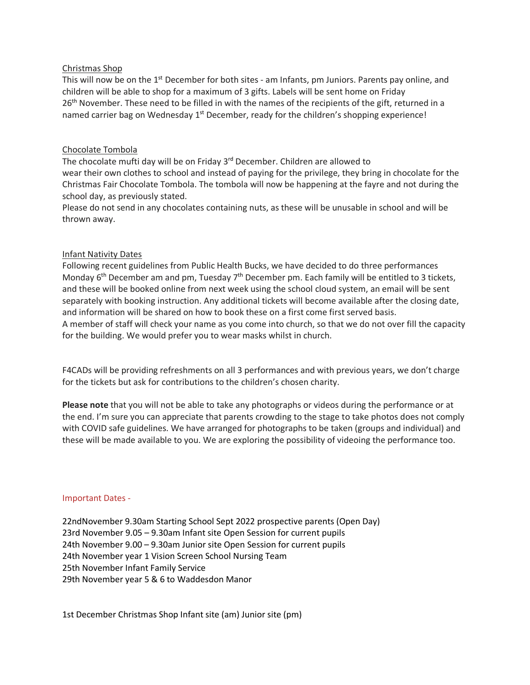#### Christmas Shop

This will now be on the 1<sup>st</sup> December for both sites - am Infants, pm Juniors. Parents pay online, and children will be able to shop for a maximum of 3 gifts. Labels will be sent home on Friday 26<sup>th</sup> November. These need to be filled in with the names of the recipients of the gift, returned in a named carrier bag on Wednesday 1<sup>st</sup> December, ready for the children's shopping experience!

#### Chocolate Tombola

The chocolate mufti day will be on Friday 3<sup>rd</sup> December. Children are allowed to wear their own clothes to school and instead of paying for the privilege, they bring in chocolate for the Christmas Fair Chocolate Tombola. The tombola will now be happening at the fayre and not during the school day, as previously stated.

Please do not send in any chocolates containing nuts, as these will be unusable in school and will be thrown away.

#### Infant Nativity Dates

Following recent guidelines from Public Health Bucks, we have decided to do three performances Monday 6<sup>th</sup> December am and pm, Tuesday 7<sup>th</sup> December pm. Each family will be entitled to 3 tickets, and these will be booked online from next week using the school cloud system, an email will be sent separately with booking instruction. Any additional tickets will become available after the closing date, and information will be shared on how to book these on a first come first served basis. A member of staff will check your name as you come into church, so that we do not over fill the capacity for the building. We would prefer you to wear masks whilst in church.

F4CADs will be providing refreshments on all 3 performances and with previous years, we don't charge for the tickets but ask for contributions to the children's chosen charity.

**Please note** that you will not be able to take any photographs or videos during the performance or at the end. I'm sure you can appreciate that parents crowding to the stage to take photos does not comply with COVID safe guidelines. We have arranged for photographs to be taken (groups and individual) and these will be made available to you. We are exploring the possibility of videoing the performance too.

#### Important Dates -

22ndNovember 9.30am Starting School Sept 2022 prospective parents (Open Day) 23rd November 9.05 – 9.30am Infant site Open Session for current pupils 24th November 9.00 – 9.30am Junior site Open Session for current pupils 24th November year 1 Vision Screen School Nursing Team 25th November Infant Family Service 29th November year 5 & 6 to Waddesdon Manor

1st December Christmas Shop Infant site (am) Junior site (pm)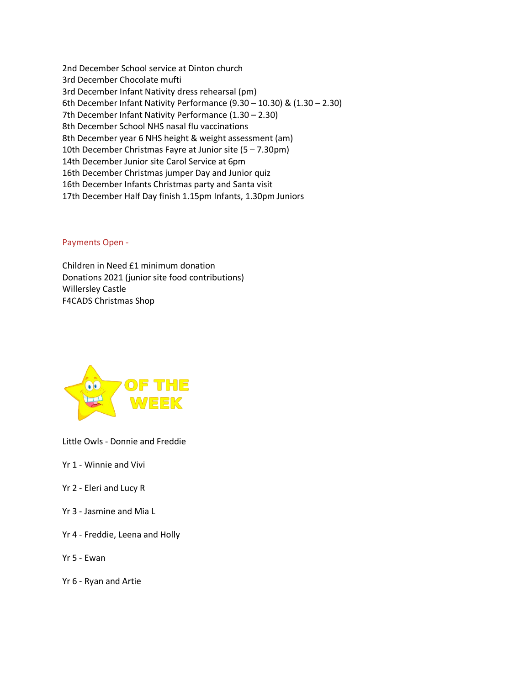2nd December School service at Dinton church 3rd December Chocolate mufti 3rd December Infant Nativity dress rehearsal (pm) 6th December Infant Nativity Performance (9.30 – 10.30) & (1.30 – 2.30) 7th December Infant Nativity Performance (1.30 – 2.30) 8th December School NHS nasal flu vaccinations 8th December year 6 NHS height & weight assessment (am) 10th December Christmas Fayre at Junior site (5 – 7.30pm) 14th December Junior site Carol Service at 6pm 16th December Christmas jumper Day and Junior quiz 16th December Infants Christmas party and Santa visit 17th December Half Day finish 1.15pm Infants, 1.30pm Juniors

Payments Open -

Children in Need £1 minimum donation Donations 2021 (junior site food contributions) Willersley Castle F4CADS Christmas Shop



Little Owls - Donnie and Freddie

- Yr 1 Winnie and Vivi
- Yr 2 Eleri and Lucy R
- Yr 3 Jasmine and Mia L
- Yr 4 Freddie, Leena and Holly
- Yr 5 Ewan
- Yr 6 Ryan and Artie